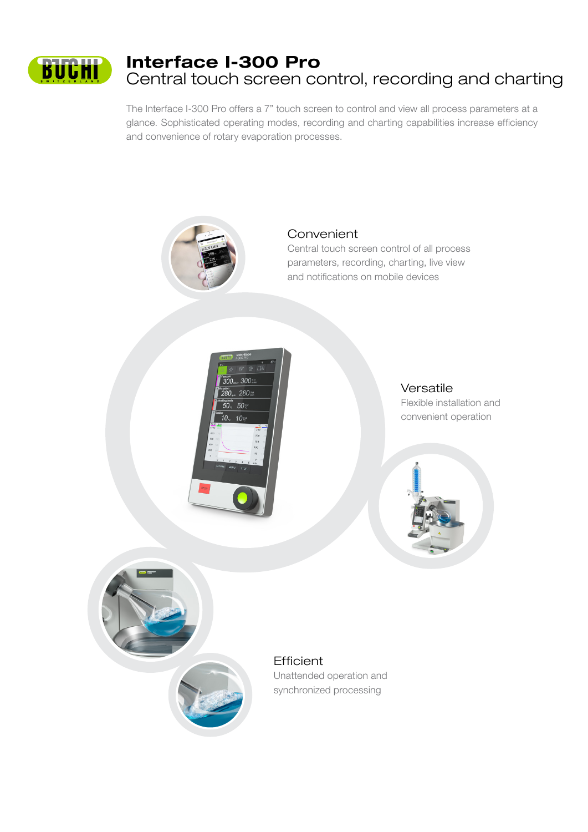

# Interface I-300 Pro Central touch screen control, recording and charting

The Interface I-300 Pro offers a 7" touch screen to control and view all process parameters at a glance. Sophisticated operating modes, recording and charting capabilities increase efficiency and convenience of rotary evaporation processes.



# Convenient

Central touch screen control of all process parameters, recording, charting, live view and notifications on mobile devices



# Versatile

Flexible installation and convenient operation





# **Efficient**

Unattended operation and synchronized processing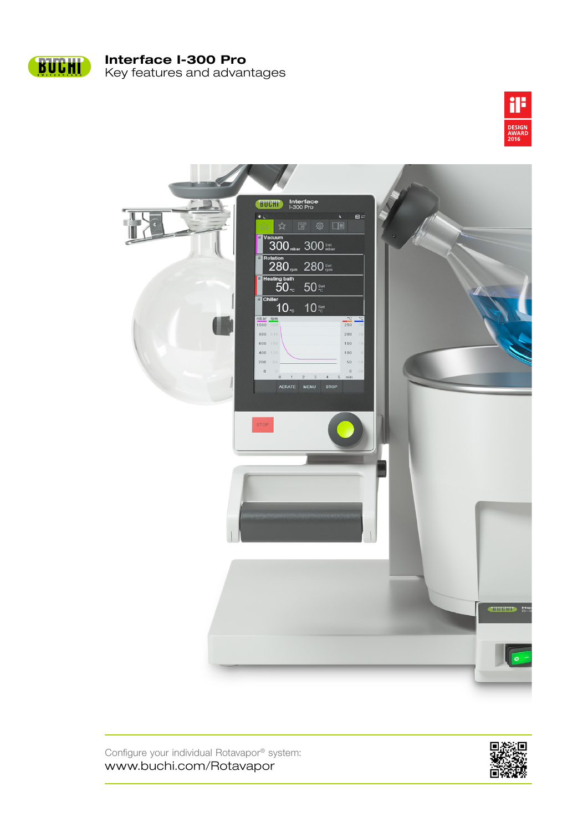

Key features and advantages Interface I-300 Pro





Configure your individual Rotavapor® system: www.buchi.com/Rotavapor

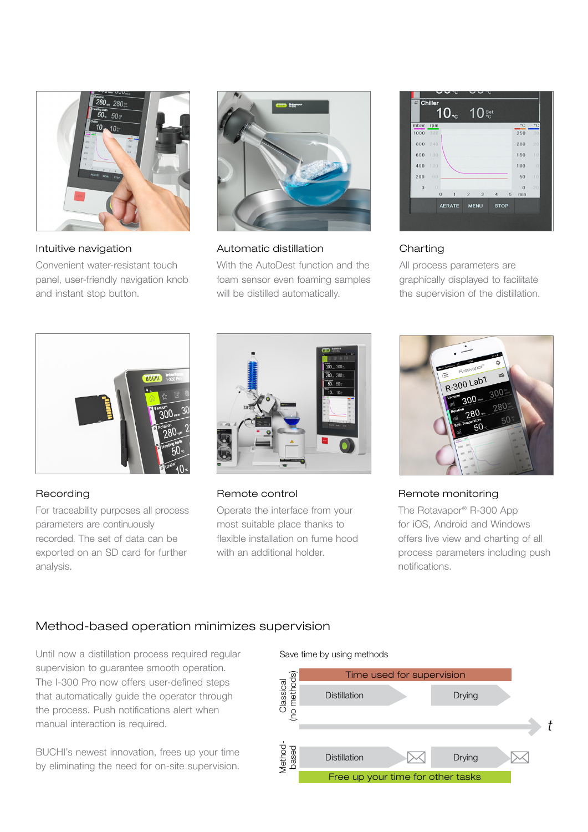

Intuitive navigation

Convenient water-resistant touch panel, user-friendly navigation knob and instant stop button.



#### Automatic distillation

With the AutoDest function and the foam sensor even foaming samples will be distilled automatically.

|                |               | $10_x$ |                | $10^{s_{\rm et}}$ |                |             |          |              |
|----------------|---------------|--------|----------------|-------------------|----------------|-------------|----------|--------------|
| mbar           | rpm           |        |                |                   |                |             | °C       | $^{\circ}$ C |
| 1000           | 300           |        |                |                   |                |             | 250      | 30           |
| 800            | 240           |        |                |                   |                |             | 200      | 20           |
| 600            | 180           |        |                |                   |                |             | 150      | 1.0          |
| 400            | 120           |        |                |                   |                |             | 100      | $\theta$     |
| 200            | 60            |        |                |                   |                |             | 50       | $-10$        |
| $\overline{0}$ | $\theta$      |        |                |                   |                |             | $\bf{0}$ | $-20$        |
|                | $\bf{0}$      | 1      | $\overline{2}$ | 3                 | $\overline{4}$ | 5           | min      |              |
|                | <b>AERATE</b> |        |                | <b>MENU</b>       |                | <b>STOP</b> |          |              |

# Charting

All process parameters are graphically displayed to facilitate the supervision of the distillation.



# Recording

For traceability purposes all process parameters are continuously recorded. The set of data can be exported on an SD card for further analysis.



Remote control

Operate the interface from your most suitable place thanks to flexible installation on fume hood with an additional holder.



Remote monitoring

The Rotavapor® R-300 App for iOS, Android and Windows offers live view and charting of all process parameters including push notifications.

# Method-based operation minimizes supervision

Until now a distillation process required regular supervision to guarantee smooth operation. The I-300 Pro now offers user-defined steps that automatically guide the operator through the process. Push notifications alert when manual interaction is required.

BUCHI's newest innovation, frees up your time by eliminating the need for on-site supervision.

#### Save time by using methods